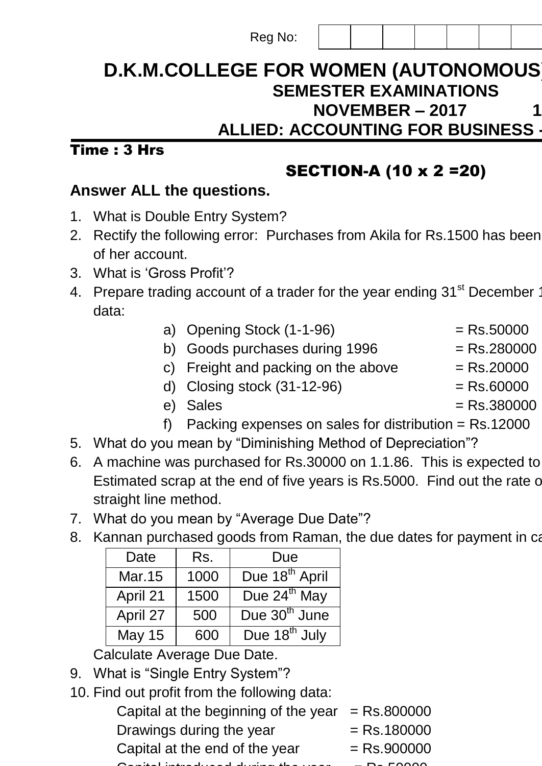#### Reg No:

## **D.K.M.COLLEGE FOR WOMEN (AUTONOMOUS) SEMESTER EXAMINATIONS NOVEMBER – 2017 ALLIED: ACCOUNTING FOR BUSINESS - I**

### $Time: 3 Hrs$

## SECTION-A (10 x 2 =20)

## **Answer ALL the questions.**

- 1. What is Double Entry System?
- 2. Rectify the following error: Purchases from Akila for Rs.1500 has been of her account.
- 3. What is "Gross Profit"?
- 4. Prepare trading account of a trader for the year ending 31<sup>st</sup> December data:
	- a) Opening Stock  $(1-1-96)$  = Rs.50000
	- b) Goods purchases during  $1996$  = Rs.280000
	- c) Freight and packing on the above  $=$  Rs.20000
	- d) Closing stock  $(31-12-96)$  = Rs.60000
	- $e)$  Sales  $=$  Rs.380000
	- f) Packing expenses on sales for distribution = Rs.12000
- 5. What do you mean by "Diminishing Method of Depreciation"?
- 6. A machine was purchased for Rs.30000 on 1.1.86. This is expected to Estimated scrap at the end of five years is Rs.5000. Find out the rate of straight line method.
- 7. What do you mean by "Average Due Date"?
- 8. Kannan purchased goods from Raman, the due dates for payment in ca

| Date          | Rs.  | Due                        |
|---------------|------|----------------------------|
| Mar.15        | 1000 | Due 18 <sup>th</sup> April |
| April 21      | 1500 | Due $24^{th}$ May          |
| April 27      | 500  | Due 30 <sup>th</sup> June  |
| <b>May 15</b> | 600  | Due 18 <sup>th</sup> July  |

Calculate Average Due Date.

- 9. What is "Single Entry System"?
- 10. Find out profit from the following data:
	- Capital at the beginning of the year  $=$  Rs.800000 Drawings during the year  $=$  Rs.180000 Capital at the end of the year  $=$  Rs.900000 Capital introduced during the year = Rs.50000.
		-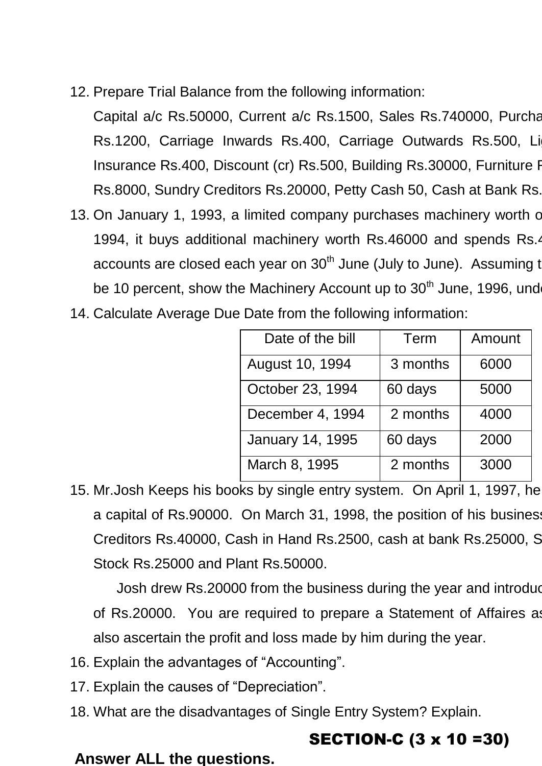12. Prepare Trial Balance from the following information:

Capital a/c Rs.50000, Current a/c Rs.1500, Sales Rs.740000, Purcha Rs.1200, Carriage Inwards Rs.400, Carriage Outwards Rs.500, Li Insurance Rs.400, Discount (cr) Rs.500, Building Rs.30000, Furniture R Rs.8000, Sundry Creditors Rs.20000, Petty Cash 50, Cash at Bank Rs.

- 13. On January 1, 1993, a limited company purchases machinery worth of 1994, it buys additional machinery worth Rs.46000 and spends Rs.4 accounts are closed each year on  $30<sup>th</sup>$  June (July to June). Assuming t be 10 percent, show the Machinery Account up to 30<sup>th</sup> June, 1996, und
- 14. Calculate Average Due Date from the following information:

| Date of the bill        | Term     | Amount |
|-------------------------|----------|--------|
| August 10, 1994         | 3 months | 6000   |
| October 23, 1994        | 60 days  | 5000   |
| December 4, 1994        | 2 months | 4000   |
| <b>January 14, 1995</b> | 60 days  | 2000   |
| March 8, 1995           | 2 months | 3000   |

15. Mr. Josh Keeps his books by single entry system. On April 1, 1997, he a capital of Rs.90000. On March 31, 1998, the position of his busines Creditors Rs.40000, Cash in Hand Rs.2500, cash at bank Rs.25000, S Stock Rs.25000 and Plant Rs.50000.

Josh drew Rs.20000 from the business during the year and introduced and an additional capital and an additional capital drew Rs. 20000 from the business during the year and introduced and any  $\alpha$ of Rs.20000. You are required to prepare a Statement of Affaires as also ascertain the profit and loss made by him during the year.

- 16. Explain the advantages of "Accounting".
- 17. Explain the causes of "Depreciation".
- 18. What are the disadvantages of Single Entry System? Explain.

# SECTION-C (3 x 10 =30)

#### **Answer ALL the questions.**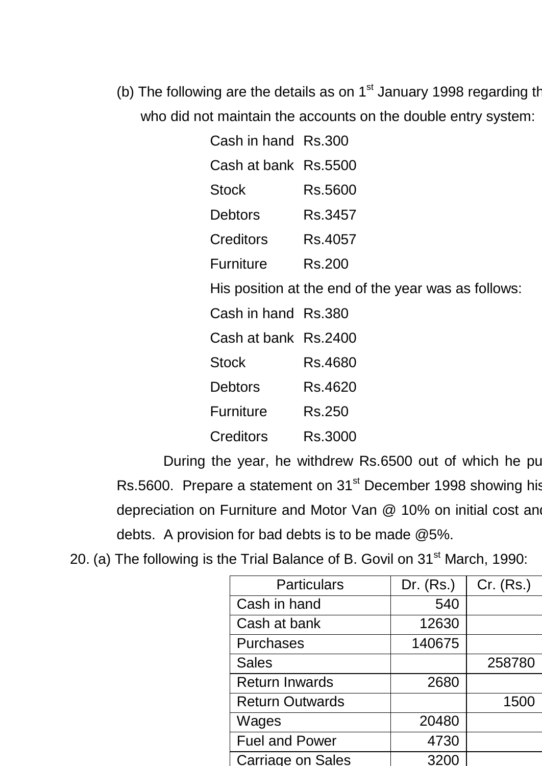(b) The following are the details as on  $1<sup>st</sup>$  January 1998 regarding the affairs of a retail trader trader who did not maintain the accounts on the double entry system:

| Cash in hand Rs.300  |                                                     |
|----------------------|-----------------------------------------------------|
| Cash at bank Rs.5500 |                                                     |
| <b>Stock</b>         | Rs.5600                                             |
| Debtors              | Rs.3457                                             |
| Creditors            | Rs.4057                                             |
| Furniture Rs.200     |                                                     |
|                      | His position at the end of the year was as follows: |
| Cash in hand Rs.380  |                                                     |
| Cash at bank Rs.2400 |                                                     |
| <b>Stock</b>         | Rs.4680                                             |
| <b>Debtors</b>       | Rs.4620                                             |
| <b>Furniture</b>     | Rs.250                                              |
| Creditors            | Rs.3000                                             |

During the year, he withdrew Rs.6500 out of which he purchased a Rs.5600. Prepare a statement on 31<sup>st</sup> December 1998 showing his depreciation on Furniture and Motor Van @ 10% on initial cost and debts. A provision for bad debts is to be made @5%.

|  |  | 20. (a) The following is the Trial Balance of B. Govil on 31 <sup>st</sup> March, 1990: |  |  |
|--|--|-----------------------------------------------------------------------------------------|--|--|
|--|--|-----------------------------------------------------------------------------------------|--|--|

| <b>Particulars</b>       | Dr. $(Rs.)$ | Cr. (Rs.) |
|--------------------------|-------------|-----------|
| Cash in hand             | 540         |           |
| Cash at bank             | 12630       |           |
| <b>Purchases</b>         | 140675      |           |
| <b>Sales</b>             |             | 258780    |
| <b>Return Inwards</b>    | 2680        |           |
| <b>Return Outwards</b>   |             | 1500      |
| Wages                    | 20480       |           |
| <b>Fuel and Power</b>    | 4730        |           |
| <b>Carriage on Sales</b> |             |           |